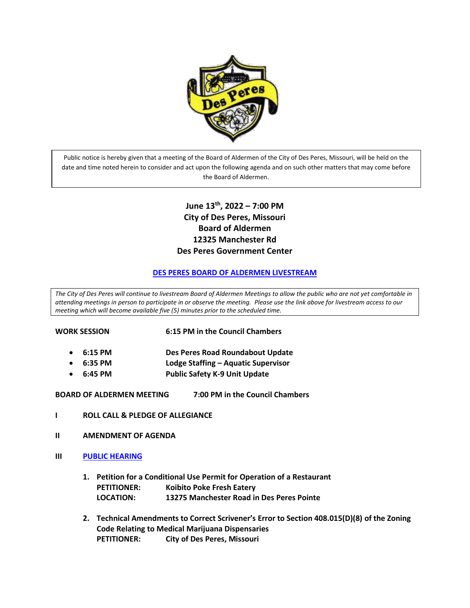

Public notice is hereby given that a meeting of the Board of Aldermen of the City of Des Peres, Missouri, will be held on the date and time noted herein to consider and act upon the following agenda and on such other matters that may come before the Board of Aldermen.

# **June 13 th, 2022 – 7:00 PM City of Des Peres, Missouri Board of Aldermen 12325 Manchester Rd Des Peres Government Center**

#### **[DES PERES BOARD OF ALDERMEN LIVESTREAM](https://us02web.zoom.us/j/86169770281)**

*The City of Des Peres will continue to livestream Board of Aldermen Meetings to allow the public who are not yet comfortable in attending meetings in person to participate in or observe the meeting. Please use the link above for livestream access to our meeting which will become available five (5) minutes prior to the scheduled time.* 

| WORK SESSION |  |
|--------------|--|

**6:15 PM in the Council Chambers** 

- **6:15 PM Des Peres Road Roundabout Update**
- **6:35 PM Lodge Staffing – Aquatic Supervisor**
- **6:45 PM Public Safety K-9 Unit Update**

**BOARD OF ALDERMEN MEETING 7:00 PM in the Council Chambers**

- **I ROLL CALL & PLEDGE OF ALLEGIANCE**
- **II AMENDMENT OF AGENDA**
- **III [PUBLIC HEARING](https://www.desperesmo.org/DocumentCenter/View/22233/Public-Hearing-Notices-61322)**
	- **1. Petition for a Conditional Use Permit for Operation of a Restaurant PETITIONER: Koibito Poke Fresh Eatery LOCATION: 13275 Manchester Road in Des Peres Pointe**
	- **2. Technical Amendments to Correct Scrivener's Error to Section 408.015(D)(8) of the Zoning Code Relating to Medical Marijuana Dispensaries PETITIONER: City of Des Peres, Missouri**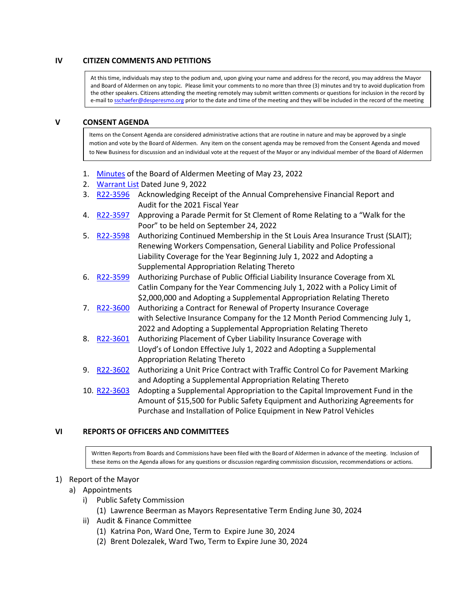# **IV CITIZEN COMMENTS AND PETITIONS**

At this time, individuals may step to the podium and, upon giving your name and address for the record, you may address the Mayor and Board of Aldermen on any topic. Please limit your comments to no more than three (3) minutes and try to avoid duplication from the other speakers. Citizens attending the meeting remotely may submit written comments or questions for inclusion in the record by e-mail to **sschaefer@desperesmo.org** prior to the date and time of the meeting and they will be included in the record of the meeting

#### **V CONSENT AGENDA**

Items on the Consent Agenda are considered administrative actions that are routine in nature and may be approved by a single motion and vote by the Board of Aldermen. Any item on the consent agenda may be removed from the Consent Agenda and moved to New Business for discussion and an individual vote at the request of the Mayor or any individual member of the Board of Aldermen

- 1. [Minutes](https://www.desperesmo.org/DocumentCenter/View/22234/05-23-2022-Draft-Alderman-Meeting-Minutes) of the Board of Aldermen Meeting of May 23, 2022
- 2. [Warrant](https://www.desperesmo.org/DocumentCenter/View/22264/Warrant-List-6922) List Dated June 9, 2022
- 3. [R22-3596](https://www.desperesmo.org/DocumentCenter/View/22235/R22-3596-Audit_CAFR-FULL) Acknowledging Receipt of the Annual Comprehensive Financial Report and Audit for the 2021 Fiscal Year
- 4. [R22-3597](https://www.desperesmo.org/DocumentCenter/View/22236/R22-3597-Walk-for-the-Poor-2022-FULL) Approving a Parade Permit for St Clement of Rome Relating to a "Walk for the Poor" to be held on September 24, 2022
- 5. [R22-3598](https://www.desperesmo.org/DocumentCenter/View/22237/R22-3598-Continued-Membership-SLAIT-2022-23) Authorizing Continued Membership in the St Louis Area Insurance Trust (SLAIT); Renewing Workers Compensation, General Liability and Police Professional Liability Coverage for the Year Beginning July 1, 2022 and Adopting a Supplemental Appropriation Relating Thereto
- 6. [R22-3599](https://www.desperesmo.org/DocumentCenter/View/22238/1-22-3599-Public-Official-Liability-Insurance) Authorizing Purchase of Public Official Liability Insurance Coverage from XL Catlin Company for the Year Commencing July 1, 2022 with a Policy Limit of \$2,000,000 and Adopting a Supplemental Appropriation Relating Thereto
- 7. [R22-3600](https://www.desperesmo.org/DocumentCenter/View/22239/R22-3600-Property-Insurance-Renewal-Selective) Authorizing a Contract for Renewal of Property Insurance Coverage with Selective Insurance Company for the 12 Month Period Commencing July 1, 2022 and Adopting a Supplemental Appropriation Relating Thereto
- 8. [R22-3601](https://www.desperesmo.org/DocumentCenter/View/22254/1-R22-3561--Cyber-Liability-Insurance) Authorizing Placement of Cyber Liability Insurance Coverage with Lloyd's of London Effective July 1, 2022 and Adopting a Supplemental Appropriation Relating Thereto
- 9. [R22-3602](https://www.desperesmo.org/DocumentCenter/View/22240/1-R22-3602--Pavement-Marking-FULL) Authorizing a Unit Price Contract with Traffic Control Co for Pavement Marking and Adopting a Supplemental Appropriation Relating Thereto
- 10. [R22-3603](https://www.desperesmo.org/DocumentCenter/View/22241/1-R22-3603-Purchase-of-Police-Vehicle-Equipment-FULL) Adopting a Supplemental Appropriation to the Capital Improvement Fund in the Amount of \$15,500 for Public Safety Equipment and Authorizing Agreements for Purchase and Installation of Police Equipment in New Patrol Vehicles

# **VI REPORTS OF OFFICERS AND COMMITTEES**

Written Reports from Boards and Commissions have been filed with the Board of Aldermen in advance of the meeting. Inclusion of these items on the Agenda allows for any questions or discussion regarding commission discussion, recommendations or actions.

#### 1) Report of the Mayor

- a) Appointments
	- i) Public Safety Commission
		- (1) Lawrence Beerman as Mayors Representative Term Ending June 30, 2024
	- ii) Audit & Finance Committee
		- (1) Katrina Pon, Ward One, Term to Expire June 30, 2024
		- (2) Brent Dolezalek, Ward Two, Term to Expire June 30, 2024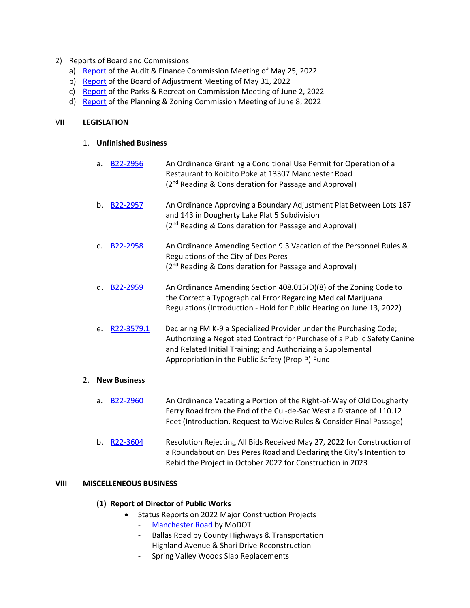- 2) Reports of Board and Commissions
	- a) [Report](https://www.desperesmo.org/DocumentCenter/View/22243/A-and-F-Minutes-5-25-22) of the Audit & Finance Commission Meeting of May 25, 2022
	- b) [Report](https://www.desperesmo.org/DocumentCenter/View/22261/20220520---Findings-of-fact-and-conclusions-of-law-v-cbg--FINAL) of the Board of Adjustment Meeting of May 31, 2022
	- c) [Report](https://www.desperesmo.org/DocumentCenter/View/22256/P_R-Meetng-of-6-2-22) of the Parks & Recreation Commission Meeting of June 2, 2022
	- d) [Report](https://www.desperesmo.org/DocumentCenter/View/22260/Meeting-Summary---June-8-2022) of the Planning & Zoning Commission Meeting of June 8, 2022

# V**II LEGISLATION**

#### 1. **Unfinished Business**

- a. **[B22-2956](https://www.desperesmo.org/DocumentCenter/View/22266/B22-2956-CUP-for-Koibito-Poke-Fresh-Eatery)** An Ordinance Granting a Conditional Use Permit for Operation of a Restaurant to Koibito Poke at 13307 Manchester Road (2<sup>nd</sup> Reading & Consideration for Passage and Approval)
- b. **[B22-2957](https://www.desperesmo.org/DocumentCenter/View/22245/B22-2957-Boundary-Adjustment-Plat-2405-Hollyhead-Drive)** An Ordinance Approving a Boundary Adjustment Plat Between Lots 187 and 143 in Dougherty Lake Plat 5 Subdivision (2<sup>nd</sup> Reading & Consideration for Passage and Approval)
- c. [B22-2958](https://www.desperesmo.org/DocumentCenter/View/22246/B22-2958-Amending-Personnel-Rules-Vacation) An Ordinance Amending Section 9.3 Vacation of the Personnel Rules & Regulations of the City of Des Peres (2<sup>nd</sup> Reading & Consideration for Passage and Approval)
- d. [B22-2959](https://www.desperesmo.org/DocumentCenter/View/22247/Medical-Marijuana-Ordinance-Typographical-Correction-002) An Ordinance Amending Section 408.015(D)(8) of the Zoning Code to the Correct a Typographical Error Regarding Medical Marijuana Regulations (Introduction - Hold for Public Hearing on June 13, 2022)
- e. [R22-3579.1](https://www.desperesmo.org/DocumentCenter/View/22248/1-R22-35791--Contract-for-Canine-with-FM-K9) Declaring FM K-9 a Specialized Provider under the Purchasing Code; Authorizing a Negotiated Contract for Purchase of a Public Safety Canine and Related Initial Training; and Authorizing a Supplemental Appropriation in the Public Safety (Prop P) Fund

# 2. **New Business**

- a. **[B22-2960](https://www.desperesmo.org/DocumentCenter/View/22252/1-B22-2960-Vacating-a-Portion-of-Old-Dougherty-Ferry-Road)** An Ordinance Vacating a Portion of the Right-of-Way of Old Dougherty Ferry Road from the End of the Cul-de-Sac West a Distance of 110.12 Feet (Introduction, Request to Waive Rules & Consider Final Passage)
- b. [R22-3604](https://www.desperesmo.org/DocumentCenter/View/22253/1-R22-3604-Rejecting-Bids-for-DP-Road-Roundabout) Resolution Rejecting All Bids Received May 27, 2022 for Construction of a Roundabout on Des Peres Road and Declaring the City's Intention to Rebid the Project in October 2022 for Construction in 2023

# **VIII MISCELLENEOUS BUSINESS**

# **(1) Report of Director of Public Works**

- Status Reports on 2022 Major Construction Projects
	- [Manchester Road](https://www.desperesmo.org/DocumentCenter/View/22265/Manchester-Construction-Contract-Recommendation-6-9-22) by MoDOT
	- Ballas Road by County Highways & Transportation
	- Highland Avenue & Shari Drive Reconstruction
	- Spring Valley Woods Slab Replacements